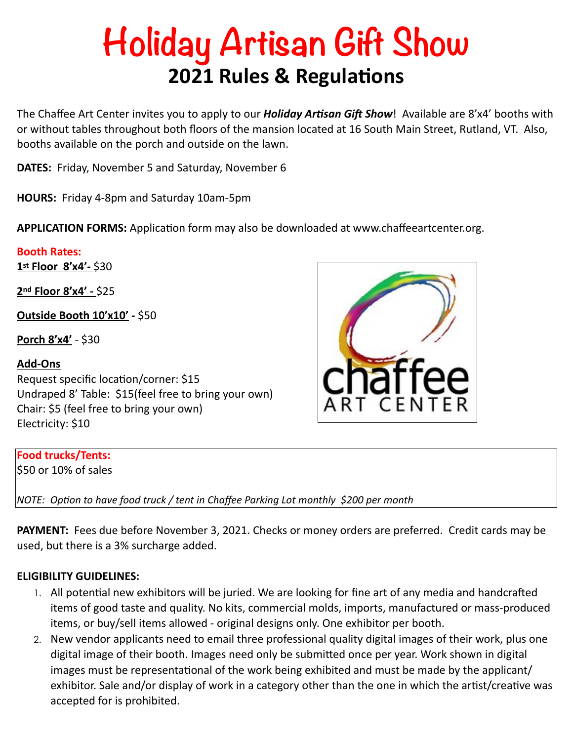# **Holiday Artisan Gift Show 2021 Rules & Regulations**

The Chaffee Art Center invites you to apply to our **Holiday Artisan Gift Show**! Available are 8'x4' booths with or without tables throughout both floors of the mansion located at 16 South Main Street, Rutland, VT. Also, booths available on the porch and outside on the lawn.

**DATES:** Friday, November 5 and Saturday, November 6

**HOURS:** Friday 4-8pm and Saturday 10am-5pm

**APPLICATION FORMS:** Application form may also be downloaded at www.chaffeeartcenter.org.

## **Booth Rates:**

**1st Floor 8'x4'-** \$30

**2nd Floor 8'x4' -** \$25

**Outside Booth 10'x10' -** \$50

**Porch 8'x4'** - \$30

## **Add-Ons**

Request specific location/corner: \$15 Undraped 8' Table: \$15(feel free to bring your own) Chair: \$5 (feel free to bring your own) Electricity: \$10

#### **Food trucks/Tents:**

\$50 or 10% of sales

*NOTE: Option to have food truck / tent in Chaffee Parking Lot monthly \$200 per month* 

**PAYMENT:** Fees due before November 3, 2021. Checks or money orders are preferred. Credit cards may be used, but there is a 3% surcharge added.

## **ELIGIBILITY GUIDELINES:**

- 1. All potential new exhibitors will be juried. We are looking for fine art of any media and handcrafted items of good taste and quality. No kits, commercial molds, imports, manufactured or mass-produced items, or buy/sell items allowed - original designs only. One exhibitor per booth.
- 2. New vendor applicants need to email three professional quality digital images of their work, plus one digital image of their booth. Images need only be submitted once per year. Work shown in digital images must be representational of the work being exhibited and must be made by the applicant/ exhibitor. Sale and/or display of work in a category other than the one in which the artist/creative was accepted for is prohibited.